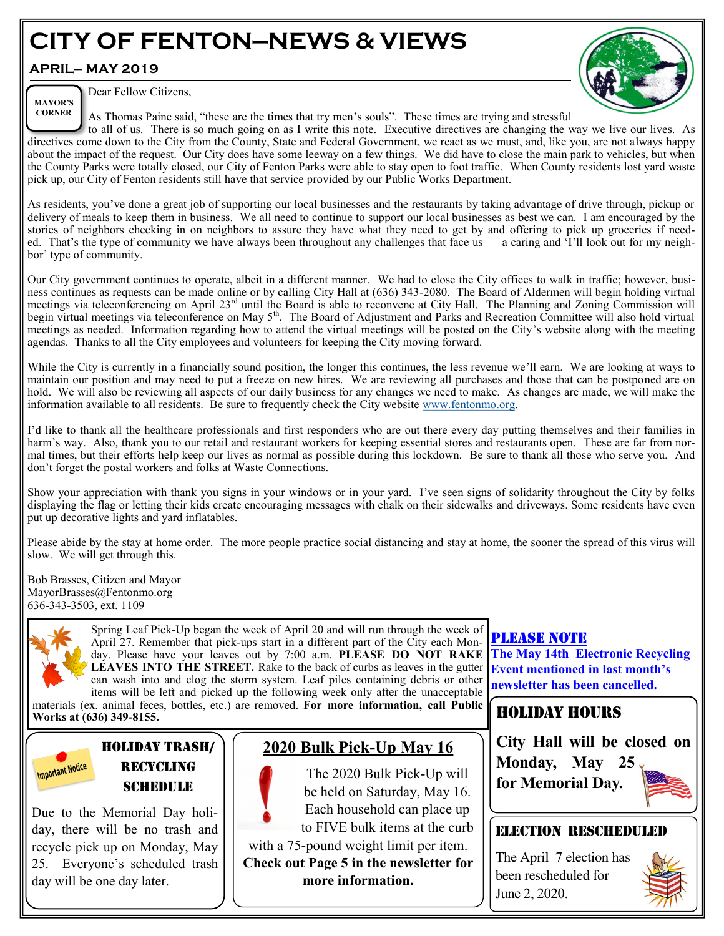# **CITY OF FENTON—NEWS & VIEWS**

#### **APRIL— MAY 2019**

**CORNER**



Dear Fellow Citizens, **MAYOR'S** 

As Thomas Paine said, "these are the times that try men's souls". These times are trying and stressful

to all of us. There is so much going on as I write this note. Executive directives are changing the way we live our lives. As directives come down to the City from the County, State and Federal Government, we react as we must, and, like you, are not always happy about the impact of the request. Our City does have some leeway on a few things. We did have to close the main park to vehicles, but when the County Parks were totally closed, our City of Fenton Parks were able to stay open to foot traffic. When County residents lost yard waste pick up, our City of Fenton residents still have that service provided by our Public Works Department.

As residents, you've done a great job of supporting our local businesses and the restaurants by taking advantage of drive through, pickup or delivery of meals to keep them in business. We all need to continue to support our local businesses as best we can. I am encouraged by the stories of neighbors checking in on neighbors to assure they have what they need to get by and offering to pick up groceries if needed. That's the type of community we have always been throughout any challenges that face us — a caring and 'I'll look out for my neighbor' type of community.

Our City government continues to operate, albeit in a different manner. We had to close the City offices to walk in traffic; however, business continues as requests can be made online or by calling City Hall at (636) 343-2080. The Board of Aldermen will begin holding virtual meetings via teleconferencing on April 23<sup>rd</sup> until the Board is able to reconvene at City Hall. The Planning and Zoning Commission will begin virtual meetings via teleconference on May 5<sup>th</sup>. The Board of Adjustment and Parks and Recreation Committee will also hold virtual meetings as needed. Information regarding how to attend the virtual meetings will be posted on the City's website along with the meeting agendas. Thanks to all the City employees and volunteers for keeping the City moving forward.

While the City is currently in a financially sound position, the longer this continues, the less revenue we'll earn. We are looking at ways to maintain our position and may need to put a freeze on new hires. We are reviewing all purchases and those that can be postponed are on hold. We will also be reviewing all aspects of our daily business for any changes we need to make. As changes are made, we will make the information available to all residents. Be sure to frequently check the City website [www.fentonmo.org.](https://linkprotect.cudasvc.com/url?a=http%3a%2f%2fwww.fentonmo.org&c=E,1,ZXv3v_ENrj6zue2skJCc-R36lWYYcKwOTJSZyFtb22cLPO8JIzad6gnummumyjfkrcM7oRKHryUEpe7xUDXw-g6EOEl1Bt0oxz6U8GPykETq5knplUw7ZDXoLM0,&typo=1)

I'd like to thank all the healthcare professionals and first responders who are out there every day putting themselves and their families in harm's way. Also, thank you to our retail and restaurant workers for keeping essential stores and restaurants open. These are far from normal times, but their efforts help keep our lives as normal as possible during this lockdown. Be sure to thank all those who serve you. And don't forget the postal workers and folks at Waste Connections.

Show your appreciation with thank you signs in your windows or in your yard. I've seen signs of solidarity throughout the City by folks displaying the flag or letting their kids create encouraging messages with chalk on their sidewalks and driveways. Some residents have even put up decorative lights and yard inflatables.

Please abide by the stay at home order. The more people practice social distancing and stay at home, the sooner the spread of this virus will slow. We will get through this.

Bob Brasses, Citizen and Mayor MayorBrasses@Fentonmo.org 636-343-3503, ext. 1109



**Important Notice** 

Spring Leaf Pick-Up began the week of April 20 and will run through the week of April 27. Remember that pick-ups start in a different part of the City each Monday. Please have your leaves out by 7:00 a.m. **PLEASE DO NOT RAKE LEAVES INTO THE STREET.** Rake to the back of curbs as leaves in the gutter can wash into and clog the storm system. Leaf piles containing debris or other items will be left and picked up the following week only after the unacceptable

materials (ex. animal feces, bottles, etc.) are removed. **For more information, call Public Works at (636) 349-8155.**

#### HOLIDAY TRASH/ RECYCLING **SCHEDULE**

Due to the Memorial Day holiday, there will be no trash and recycle pick up on Monday, May 25. Everyone's scheduled trash day will be one day later.

### **2020 Bulk Pick-Up May 16**

The 2020 Bulk Pick-Up will be held on Saturday, May 16. Each household can place up to FIVE bulk items at the curb

with a 75-pound weight limit per item. **Check out Page 5 in the newsletter for more information.** 

#### PLEASE NOTE

**The May 14th Electronic Recycling Event mentioned in last month's newsletter has been cancelled.**

#### Holiday hours

**City Hall will be closed on Monday, May 25 for Memorial Day.**

#### ELECTION Rescheduled

The April 7 election has been rescheduled for June 2, 2020.

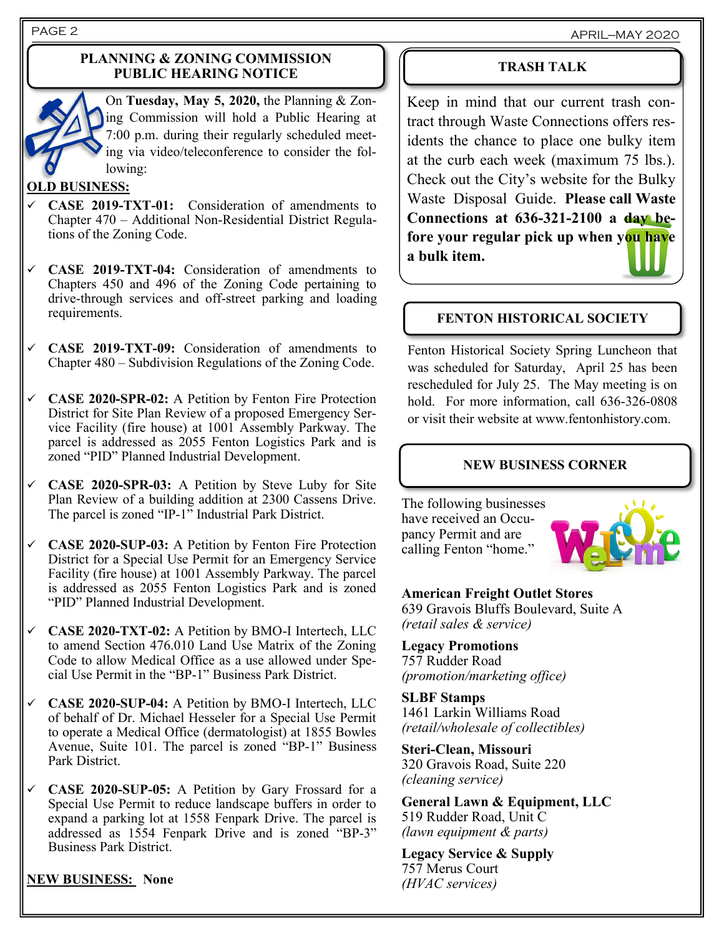PAGE 2 APRIL—MAY 2020

#### **PLANNING & ZONING COMMISSION PUBLIC HEARING NOTICE**



On **Tuesday, May 5, 2020,** the Planning & Zoning Commission will hold a Public Hearing at 7:00 p.m. during their regularly scheduled meeting via video/teleconference to consider the following:

#### **OLD BUSINESS:**

- ✓ **CASE 2019-TXT-01:** Consideration of amendments to Chapter 470 – Additional Non-Residential District Regulations of the Zoning Code.
- ✓ **CASE 2019-TXT-04:** Consideration of amendments to Chapters 450 and 496 of the Zoning Code pertaining to drive-through services and off-street parking and loading requirements.
- ✓ **CASE 2019-TXT-09:** Consideration of amendments to Chapter 480 – Subdivision Regulations of the Zoning Code.
- ✓ **CASE 2020-SPR-02:** A Petition by Fenton Fire Protection District for Site Plan Review of a proposed Emergency Service Facility (fire house) at 1001 Assembly Parkway. The parcel is addressed as 2055 Fenton Logistics Park and is zoned "PID" Planned Industrial Development.
- ✓ **CASE 2020-SPR-03:** A Petition by Steve Luby for Site Plan Review of a building addition at 2300 Cassens Drive. The parcel is zoned "IP-1" Industrial Park District.
- ✓ **CASE 2020-SUP-03:** A Petition by Fenton Fire Protection District for a Special Use Permit for an Emergency Service Facility (fire house) at 1001 Assembly Parkway. The parcel is addressed as 2055 Fenton Logistics Park and is zoned "PID" Planned Industrial Development.
- ✓ **CASE 2020-TXT-02:** A Petition by BMO-I Intertech, LLC to amend Section 476.010 Land Use Matrix of the Zoning Code to allow Medical Office as a use allowed under Special Use Permit in the "BP-1" Business Park District.
- ✓ **CASE 2020-SUP-04:** A Petition by BMO-I Intertech, LLC of behalf of Dr. Michael Hesseler for a Special Use Permit to operate a Medical Office (dermatologist) at 1855 Bowles Avenue, Suite 101. The parcel is zoned "BP-1" Business Park District.
- ✓ **CASE 2020-SUP-05:** A Petition by Gary Frossard for a Special Use Permit to reduce landscape buffers in order to expand a parking lot at 1558 Fenpark Drive. The parcel is addressed as 1554 Fenpark Drive and is zoned "BP-3" Business Park District.

**NEW BUSINESS: None**

#### **TRASH TALK**

Keep in mind that our current trash contract through Waste Connections offers residents the chance to place one bulky item at the curb each week (maximum 75 lbs.). Check out the City's website for the Bulky Waste Disposal Guide. **Please call Waste Connections at 636-321-2100 a day before your regular pick up when you have a bulk item.**

#### **FENTON HISTORICAL SOCIETY**

Fenton Historical Society Spring Luncheon that was scheduled for Saturday, April 25 has been rescheduled for July 25. The May meeting is on hold. For more information, call 636-326-0808 or visit their website at www.fentonhistory.com.

#### **NEW BUSINESS CORNER**

The following businesses have received an Occupancy Permit and are calling Fenton "home."



#### **American Freight Outlet Stores** 639 Gravois Bluffs Boulevard, Suite A *(retail sales & service)*

#### **Legacy Promotions**

757 Rudder Road *(promotion/marketing office)*

**SLBF Stamps** 1461 Larkin Williams Road *(retail/wholesale of collectibles)*

**Steri-Clean, Missouri** 320 Gravois Road, Suite 220 *(cleaning service)*

**General Lawn & Equipment, LLC** 519 Rudder Road, Unit C *(lawn equipment & parts)*

**Legacy Service & Supply** 757 Merus Court *(HVAC services)*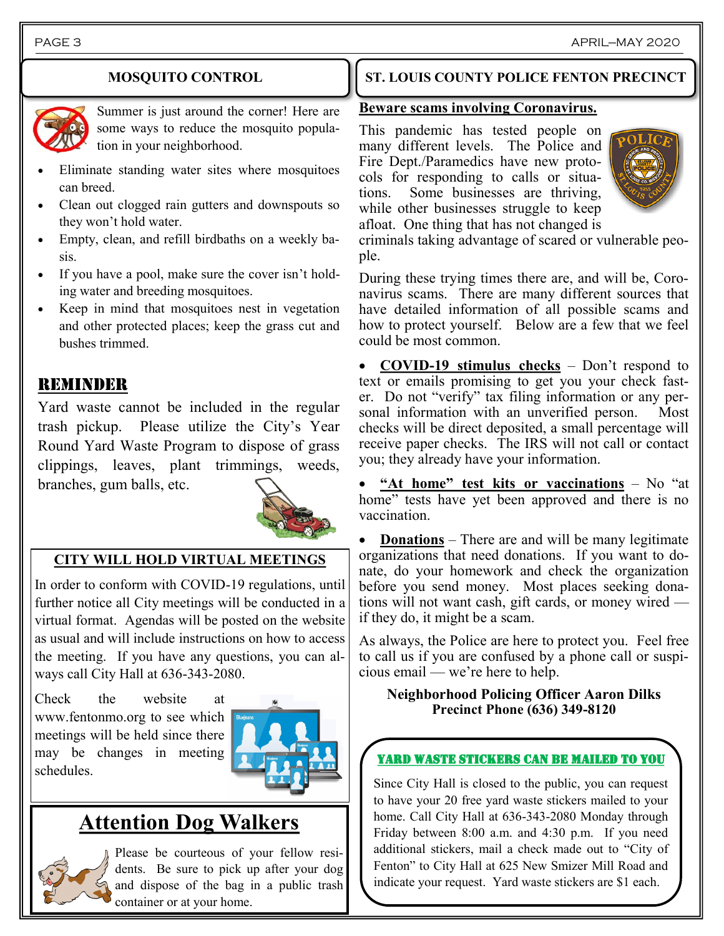#### **MOSQUITO CONTROL**



Summer is just around the corner! Here are some ways to reduce the mosquito population in your neighborhood.

- Eliminate standing water sites where mosquitoes can breed.
- Clean out clogged rain gutters and downspouts so they won't hold water.
- Empty, clean, and refill birdbaths on a weekly basis.
- If you have a pool, make sure the cover isn't holding water and breeding mosquitoes.
- Keep in mind that mosquitoes nest in vegetation and other protected places; keep the grass cut and bushes trimmed.

#### REMINDER

Yard waste cannot be included in the regular trash pickup. Please utilize the City's Year Round Yard Waste Program to dispose of grass clippings, leaves, plant trimmings, weeds, branches, gum balls, etc.



#### **CITY WILL HOLD VIRTUAL MEETINGS**

In order to conform with COVID-19 regulations, until further notice all City meetings will be conducted in a virtual format. Agendas will be posted on the website as usual and will include instructions on how to access the meeting. If you have any questions, you can always call City Hall at 636-343-2080.

Check the website at www.fentonmo.org to see which meetings will be held since there may be changes in meeting schedules.



## **Attention Dog Walkers**



Please be courteous of your fellow residents. Be sure to pick up after your dog and dispose of the bag in a public trash container or at your home.

### **ST. LOUIS COUNTY POLICE FENTON PRECINCT**

#### **Beware scams involving Coronavirus.**

This pandemic has tested people on many different levels. The Police and Fire Dept./Paramedics have new protocols for responding to calls or situations. Some businesses are thriving, while other businesses struggle to keep afloat. One thing that has not changed is



criminals taking advantage of scared or vulnerable people.

During these trying times there are, and will be, Coronavirus scams. There are many different sources that have detailed information of all possible scams and how to protect yourself. Below are a few that we feel could be most common.

• **COVID-19 stimulus checks** – Don't respond to text or emails promising to get you your check faster. Do not "verify" tax filing information or any personal information with an unverified person. Most checks will be direct deposited, a small percentage will receive paper checks. The IRS will not call or contact you; they already have your information.

• **"At home" test kits or vaccinations** – No "at home" tests have yet been approved and there is no vaccination.

• **Donations** – There are and will be many legitimate organizations that need donations. If you want to donate, do your homework and check the organization before you send money. Most places seeking donations will not want cash, gift cards, or money wired if they do, it might be a scam.

As always, the Police are here to protect you. Feel free to call us if you are confused by a phone call or suspicious email — we're here to help.

#### **Neighborhood Policing Officer Aaron Dilks Precinct Phone (636) 349-8120**

#### YARD WASTE STICKERS CAN BE MAILED TO YOU

Since City Hall is closed to the public, you can request to have your 20 free yard waste stickers mailed to your home. Call City Hall at 636-343-2080 Monday through Friday between 8:00 a.m. and 4:30 p.m. If you need additional stickers, mail a check made out to "City of Fenton" to City Hall at 625 New Smizer Mill Road and indicate your request. Yard waste stickers are \$1 each.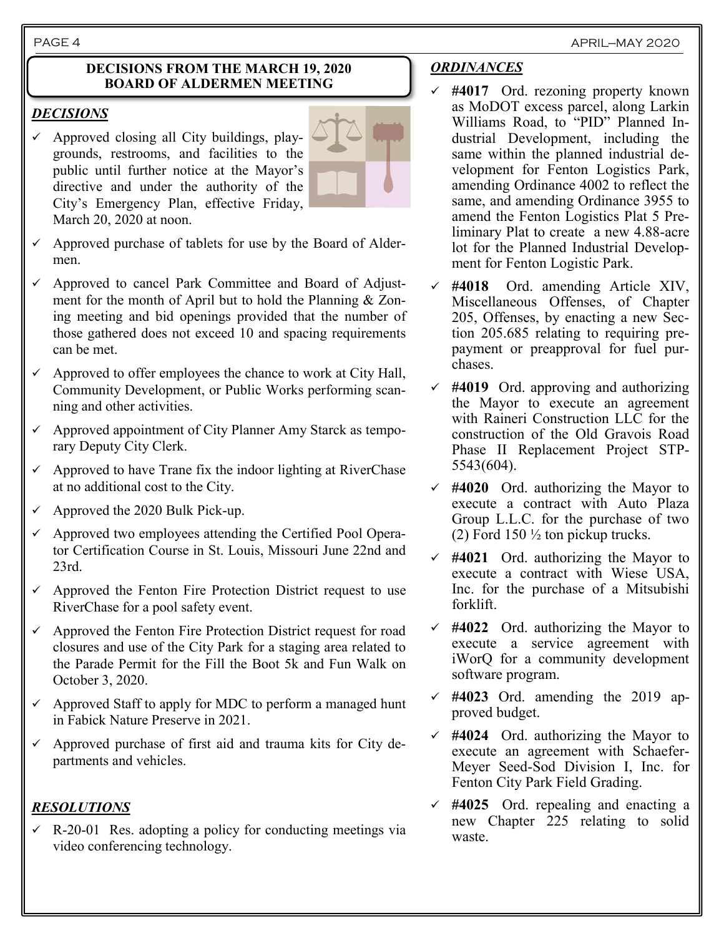#### **DECISIONS FROM THE MARCH 19, 2020 BOARD OF ALDERMEN MEETING**

#### *DECISIONS*

 $\checkmark$  Approved closing all City buildings, playgrounds, restrooms, and facilities to the public until further notice at the Mayor's directive and under the authority of the City's Emergency Plan, effective Friday, March 20, 2020 at noon.



- Approved purchase of tablets for use by the Board of Aldermen.
- ✓ Approved to cancel Park Committee and Board of Adjustment for the month of April but to hold the Planning & Zoning meeting and bid openings provided that the number of those gathered does not exceed 10 and spacing requirements can be met.
- $\checkmark$  Approved to offer employees the chance to work at City Hall, Community Development, or Public Works performing scanning and other activities.
- $\checkmark$  Approved appointment of City Planner Amy Starck as temporary Deputy City Clerk.
- $\checkmark$  Approved to have Trane fix the indoor lighting at RiverChase at no additional cost to the City.
- $\checkmark$  Approved the 2020 Bulk Pick-up.
- $\checkmark$  Approved two employees attending the Certified Pool Operator Certification Course in St. Louis, Missouri June 22nd and 23rd.
- $\checkmark$  Approved the Fenton Fire Protection District request to use RiverChase for a pool safety event.
- $\checkmark$  Approved the Fenton Fire Protection District request for road closures and use of the City Park for a staging area related to the Parade Permit for the Fill the Boot 5k and Fun Walk on October 3, 2020.
- $\checkmark$  Approved Staff to apply for MDC to perform a managed hunt in Fabick Nature Preserve in 2021.
- $\checkmark$  Approved purchase of first aid and trauma kits for City departments and vehicles.

#### *RESOLUTIONS*

 $\checkmark$  R-20-01 Res. adopting a policy for conducting meetings via video conferencing technology.

#### *ORDINANCES*

- ✓ **#4017** Ord. rezoning property known as MoDOT excess parcel, along Larkin Williams Road, to "PID" Planned Industrial Development, including the same within the planned industrial development for Fenton Logistics Park, amending Ordinance 4002 to reflect the same, and amending Ordinance 3955 to amend the Fenton Logistics Plat 5 Preliminary Plat to create a new 4.88-acre lot for the Planned Industrial Development for Fenton Logistic Park.
- ✓ **#4018** Ord. amending Article XIV, Miscellaneous Offenses, of Chapter 205, Offenses, by enacting a new Section 205.685 relating to requiring prepayment or preapproval for fuel purchases.
- ✓ **#4019** Ord. approving and authorizing the Mayor to execute an agreement with Raineri Construction LLC for the construction of the Old Gravois Road Phase II Replacement Project STP-5543(604).
- ✓ **#4020** Ord. authorizing the Mayor to execute a contract with Auto Plaza Group L.L.C. for the purchase of two (2) Ford  $150 \frac{1}{2}$  ton pickup trucks.
- ✓ **#4021** Ord. authorizing the Mayor to execute a contract with Wiese USA, Inc. for the purchase of a Mitsubishi forklift.
- $\checkmark$  #4022 Ord. authorizing the Mayor to execute a service agreement with iWorQ for a community development software program.
- ✓ **#4023** Ord. amending the 2019 approved budget.
- ✓ **#4024** Ord. authorizing the Mayor to execute an agreement with Schaefer-Meyer Seed-Sod Division I, Inc. for Fenton City Park Field Grading.
- ✓ **#4025** Ord. repealing and enacting a new Chapter 225 relating to solid waste.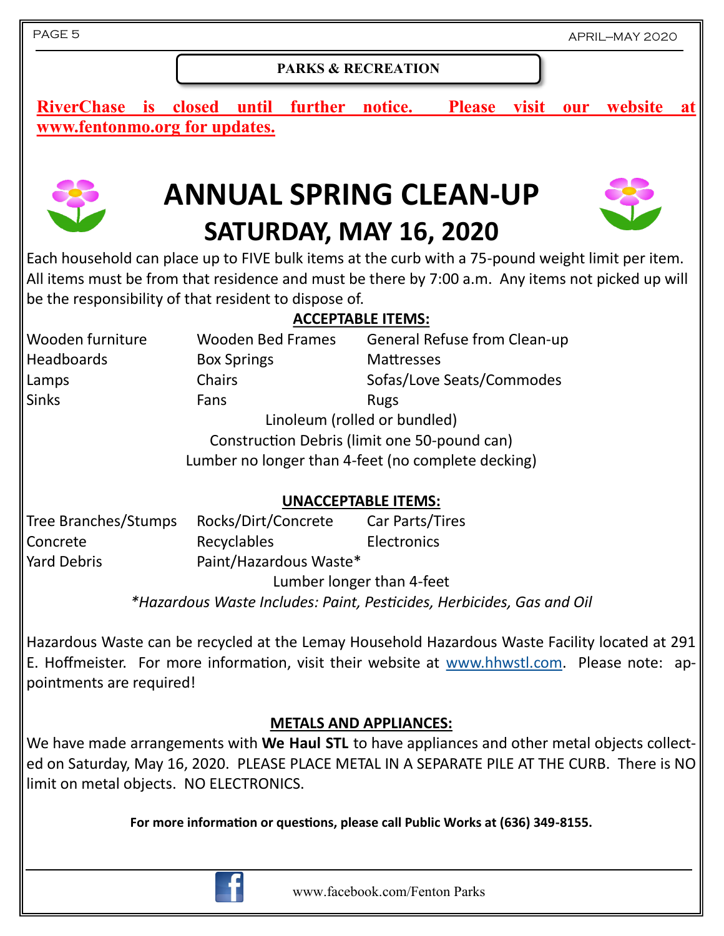#### **PARKS & RECREATION**

**RiverChase is closed until further notice. Please visit our website at www.fentonmo.org for updates.**



# **ANNUAL SPRING CLEAN-UP SATURDAY, MAY 16, 2020**



Each household can place up to FIVE bulk items at the curb with a 75-pound weight limit per item. All items must be from that residence and must be there by 7:00 a.m. Any items not picked up will be the responsibility of that resident to dispose of.

#### **ACCEPTABLE ITEMS:**

Wooden furniture Wooden Bed Frames General Refuse from Clean-up Headboards **Box Springs** Mattresses Lamps Chairs Chairs Sofas/Love Seats/Commodes Sinks Fans Fans Rugs Linoleum (rolled or bundled)

Construction Debris (limit one 50-pound can)

Lumber no longer than 4-feet (no complete decking)

#### **UNACCEPTABLE ITEMS:**

| Tree Branches/Stumps | Rocks/Dirt/Concrete       | Car Parts/Tires    |
|----------------------|---------------------------|--------------------|
| Concrete             | Recyclables               | <b>Electronics</b> |
| <b>Yard Debris</b>   | Paint/Hazardous Waste*    |                    |
|                      | Lumber longer than 4-feet |                    |

*\*Hazardous Waste Includes: Paint, Pesticides, Herbicides, Gas and Oil*

Hazardous Waste can be recycled at the Lemay Household Hazardous Waste Facility located at 291 E. Hoffmeister. For more information, visit their website at [www.hhwstl.com.](http://www.hhwstl.com) Please note: appointments are required!

#### **METALS AND APPLIANCES:**

We have made arrangements with **We Haul STL** to have appliances and other metal objects collected on Saturday, May 16, 2020. PLEASE PLACE METAL IN A SEPARATE PILE AT THE CURB. There is NO limit on metal objects. NO ELECTRONICS.

**For more information or questions, please call Public Works at (636) 349-8155.**